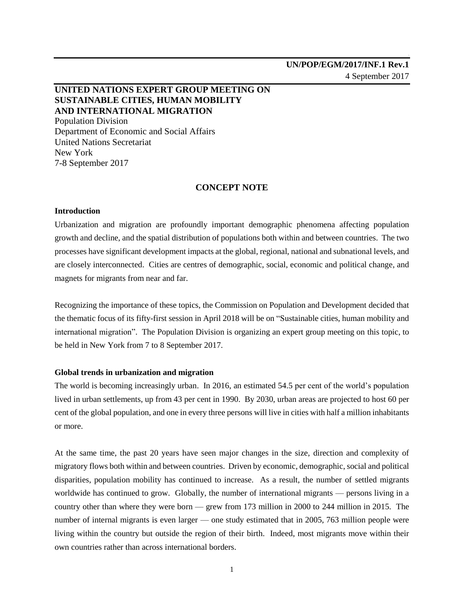# **UNITED NATIONS EXPERT GROUP MEETING ON SUSTAINABLE CITIES, HUMAN MOBILITY AND INTERNATIONAL MIGRATION** Population Division

Department of Economic and Social Affairs United Nations Secretariat New York 7-8 September 2017

## **CONCEPT NOTE**

## **Introduction**

Urbanization and migration are profoundly important demographic phenomena affecting population growth and decline, and the spatial distribution of populations both within and between countries. The two processes have significant development impacts at the global, regional, national and subnational levels, and are closely interconnected. Cities are centres of demographic, social, economic and political change, and magnets for migrants from near and far.

Recognizing the importance of these topics, the Commission on Population and Development decided that the thematic focus of its fifty-first session in April 2018 will be on "Sustainable cities, human mobility and international migration". The Population Division is organizing an expert group meeting on this topic, to be held in New York from 7 to 8 September 2017.

## **Global trends in urbanization and migration**

The world is becoming increasingly urban. In 2016, an estimated 54.5 per cent of the world's population lived in urban settlements, up from 43 per cent in 1990. By 2030, urban areas are projected to host 60 per cent of the global population, and one in every three persons will live in cities with half a million inhabitants or more.

At the same time, the past 20 years have seen major changes in the size, direction and complexity of migratory flows both within and between countries. Driven by economic, demographic, social and political disparities, population mobility has continued to increase. As a result, the number of settled migrants worldwide has continued to grow. Globally, the number of international migrants — persons living in a country other than where they were born — grew from 173 million in 2000 to 244 million in 2015. The number of internal migrants is even larger — one study estimated that in 2005, 763 million people were living within the country but outside the region of their birth. Indeed, most migrants move within their own countries rather than across international borders.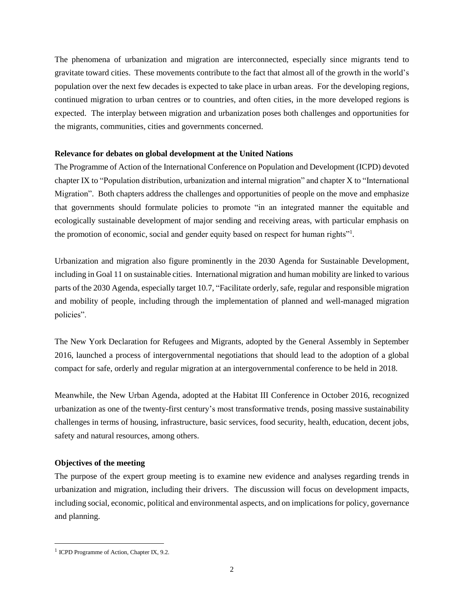The phenomena of urbanization and migration are interconnected, especially since migrants tend to gravitate toward cities. These movements contribute to the fact that almost all of the growth in the world's population over the next few decades is expected to take place in urban areas. For the developing regions, continued migration to urban centres or to countries, and often cities, in the more developed regions is expected. The interplay between migration and urbanization poses both challenges and opportunities for the migrants, communities, cities and governments concerned.

### **Relevance for debates on global development at the United Nations**

The Programme of Action of the International Conference on Population and Development (ICPD) devoted chapter IX to "Population distribution, urbanization and internal migration" and chapter X to "International Migration". Both chapters address the challenges and opportunities of people on the move and emphasize that governments should formulate policies to promote "in an integrated manner the equitable and ecologically sustainable development of major sending and receiving areas, with particular emphasis on the promotion of economic, social and gender equity based on respect for human rights"<sup>1</sup> .

Urbanization and migration also figure prominently in the 2030 Agenda for Sustainable Development, including in Goal 11 on sustainable cities. International migration and human mobility are linked to various parts of the 2030 Agenda, especially target 10.7, "Facilitate orderly, safe, regular and responsible migration and mobility of people, including through the implementation of planned and well-managed migration policies".

The New York Declaration for Refugees and Migrants, adopted by the General Assembly in September 2016, launched a process of intergovernmental negotiations that should lead to the adoption of a global compact for safe, orderly and regular migration at an intergovernmental conference to be held in 2018.

Meanwhile, the New Urban Agenda, adopted at the Habitat III Conference in October 2016, recognized urbanization as one of the twenty-first century's most transformative trends, posing massive sustainability challenges in terms of housing, infrastructure, basic services, food security, health, education, decent jobs, safety and natural resources, among others.

## **Objectives of the meeting**

The purpose of the expert group meeting is to examine new evidence and analyses regarding trends in urbanization and migration, including their drivers. The discussion will focus on development impacts, including social, economic, political and environmental aspects, and on implicationsfor policy, governance and planning.

 $\overline{\phantom{a}}$ 

<sup>&</sup>lt;sup>1</sup> ICPD Programme of Action, Chapter IX, 9.2.